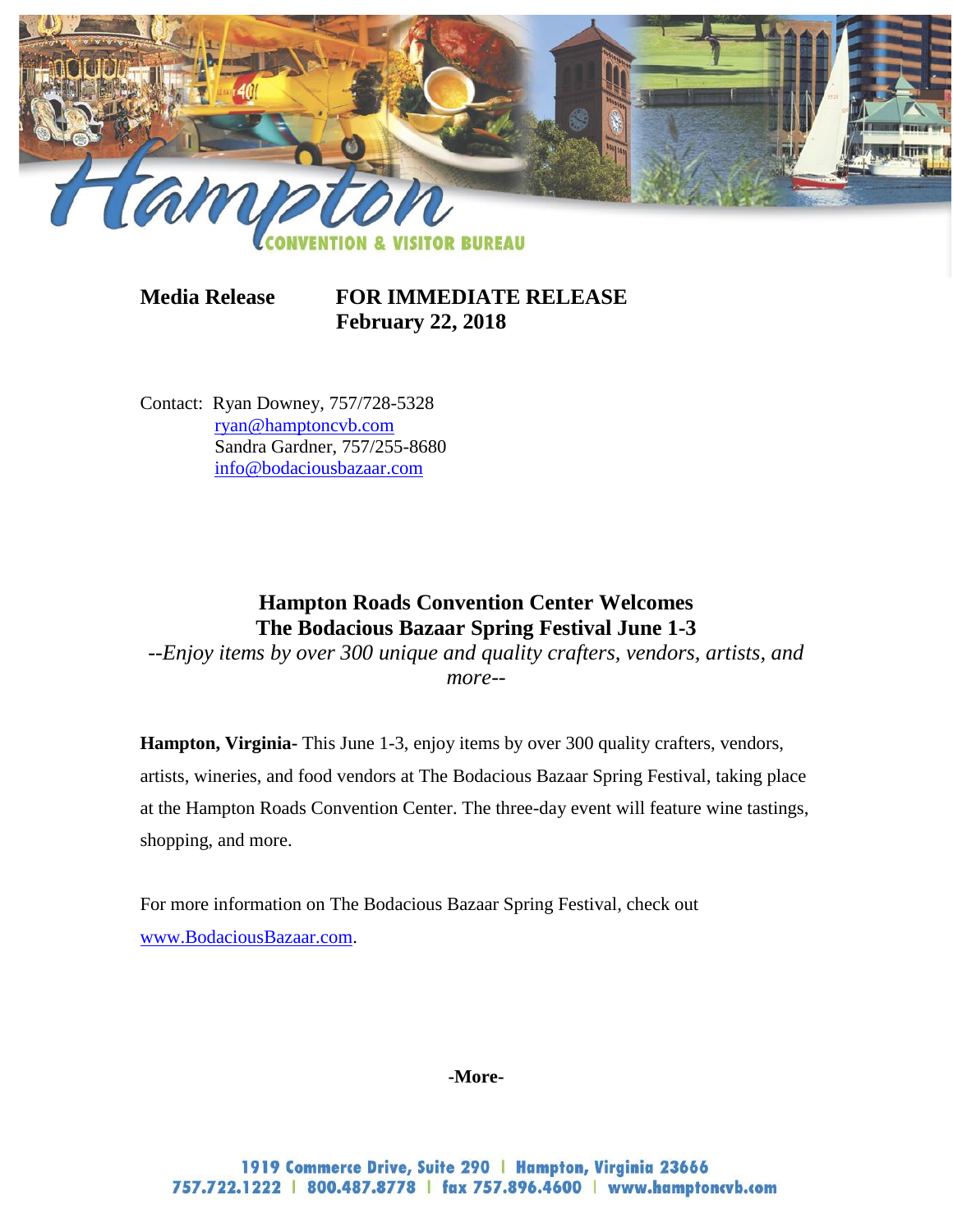

**Media Release FOR IMMEDIATE RELEASE February 22, 2018**

Contact: Ryan Downey, 757/728-5328 [ryan@hamptoncvb.com](mailto:ryan@hamptoncvb.com) Sandra Gardner, 757/255-8680 [info@bodaciousbazaar.com](mailto:info@bodaciousbazaar.com)

## **Hampton Roads Convention Center Welcomes The Bodacious Bazaar Spring Festival June 1-3**

*--Enjoy items by over 300 unique and quality crafters, vendors, artists, and more--*

**Hampton, Virginia-** This June 1-3, enjoy items by over 300 quality crafters, vendors, artists, wineries, and food vendors at The Bodacious Bazaar Spring Festival, taking place at the Hampton Roads Convention Center. The three-day event will feature wine tastings, shopping, and more.

For more information on The Bodacious Bazaar Spring Festival, check out [www.BodaciousBazaar.com.](http://www.bodaciousbazaar.com/)

**-More-**